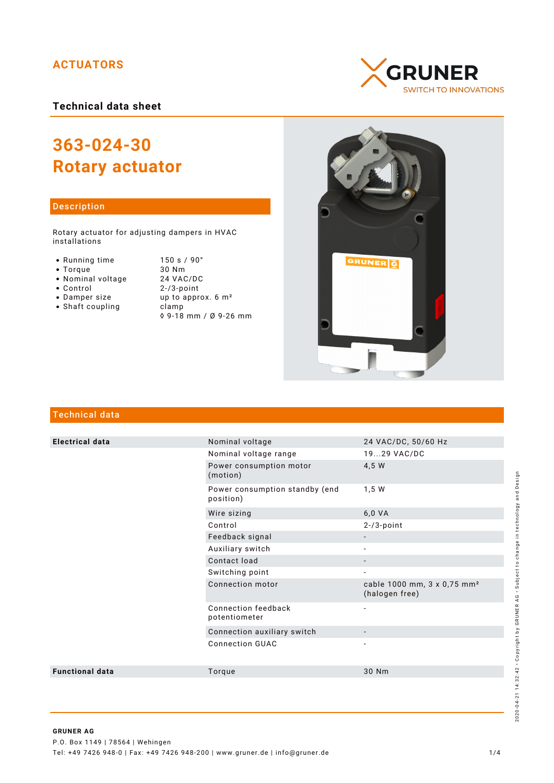# **ACTUATORS**

**Technical data sheet**

# **363-024-30 Rotary actuator**

# Description

Rotary actuator for adjusting dampers in HVAC installations

- Running time
- $\bullet$  Torque
- Nominal voltage
- Control
- Damper size
- $\bullet$  Shaft coupling

| 150 s / 90°                    |
|--------------------------------|
| 30 Nm                          |
| 24 VAC/DC                      |
| $2 - 73$ -point                |
| up to approx. 6 m <sup>2</sup> |
| clamp                          |
| ◊ 9-18 mm / Ø 9-26 mm          |





# Technical data

| <b>Electrical data</b> | Nominal voltage                             | 24 VAC/DC, 50/60 Hz                                       |
|------------------------|---------------------------------------------|-----------------------------------------------------------|
|                        | Nominal voltage range                       | 1929 VAC/DC                                               |
|                        | Power consumption motor<br>(motion)         | 4,5 W                                                     |
|                        | Power consumption standby (end<br>position) | 1,5 W                                                     |
|                        | Wire sizing                                 | 6,0 VA                                                    |
|                        | Control                                     | $2 - 73$ -point                                           |
|                        | Feedback signal                             |                                                           |
|                        | Auxiliary switch                            |                                                           |
|                        | Contact load                                | $\overline{\phantom{a}}$                                  |
|                        | Switching point                             | $\overline{\phantom{a}}$                                  |
|                        | Connection motor                            | cable 1000 mm, 3 x 0,75 mm <sup>2</sup><br>(halogen free) |
|                        | Connection feedback<br>potentiometer        | $\overline{\phantom{a}}$                                  |
|                        | Connection auxiliary switch                 |                                                           |
|                        | <b>Connection GUAC</b>                      |                                                           |
| <b>Functional data</b> | Torque                                      | 30 Nm                                                     |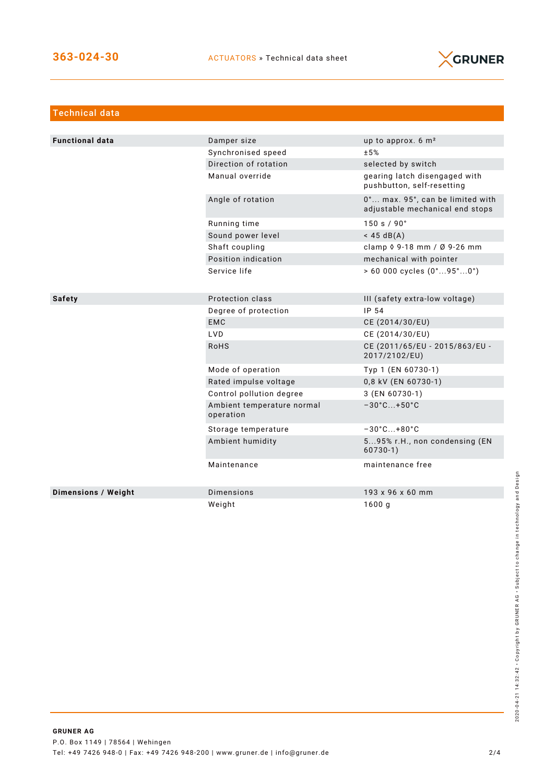

| <b>Technical data</b>  |                                         |                                                                     |
|------------------------|-----------------------------------------|---------------------------------------------------------------------|
|                        |                                         |                                                                     |
| <b>Functional data</b> | Damper size                             | up to approx. $6 \text{ m}^2$                                       |
|                        | Synchronised speed                      | ±5%                                                                 |
|                        | Direction of rotation                   | selected by switch                                                  |
|                        | Manual override                         | gearing latch disengaged with<br>pushbutton, self-resetting         |
|                        | Angle of rotation                       | 0° max. 95°, can be limited with<br>adjustable mechanical end stops |
|                        | Running time                            | 150 s / 90°                                                         |
|                        | Sound power level                       | $<$ 45 dB(A)                                                        |
|                        | Shaft coupling                          | clamp $\sqrt{9}$ -18 mm / Ø 9-26 mm                                 |
|                        | Position indication                     | mechanical with pointer                                             |
|                        | Service life                            | $> 60000$ cycles $(0^{\circ}95^{\circ}0^{\circ})$                   |
|                        |                                         |                                                                     |
| <b>Safety</b>          | Protection class                        | III (safety extra-low voltage)                                      |
|                        | Degree of protection                    | IP 54                                                               |
|                        | <b>EMC</b>                              | CE (2014/30/EU)                                                     |
|                        | LVD.                                    | CE (2014/30/EU)                                                     |
|                        | <b>RoHS</b>                             | CE (2011/65/EU - 2015/863/EU -<br>2017/2102/EU)                     |
|                        | Mode of operation                       | Typ 1 (EN 60730-1)                                                  |
|                        | Rated impulse voltage                   | 0,8 kV (EN 60730-1)                                                 |
|                        | Control pollution degree                | 3 (EN 60730-1)                                                      |
|                        | Ambient temperature normal<br>operation | $-30^{\circ}$ C +50 $^{\circ}$ C                                    |
|                        | Storage temperature                     | $-30^{\circ}$ C +80 $^{\circ}$ C                                    |
|                        | Ambient humidity                        | 595% r.H., non condensing (EN<br>$60730-1)$                         |
|                        | Maintenance                             | maintenance free                                                    |
| Dimensions / Weight    | Dimensions                              | 193 x 96 x 60 mm                                                    |
|                        | Weight                                  | 1600q                                                               |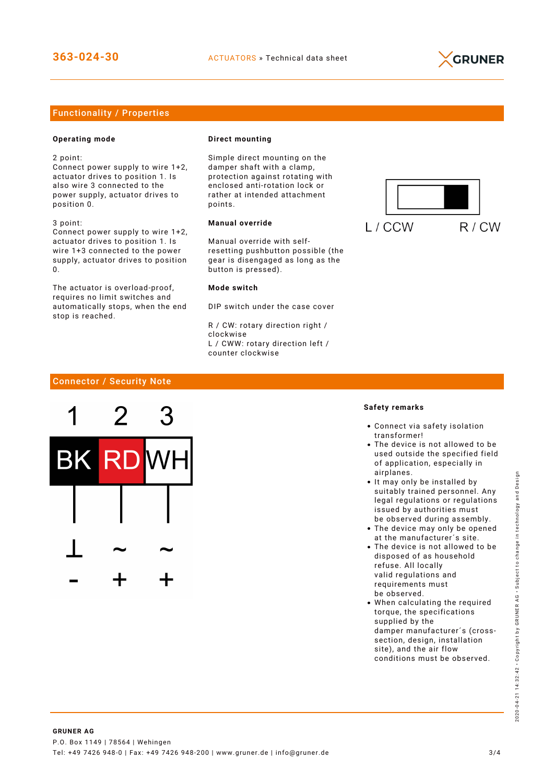

# Functionality / Properties

## **Operating mode**

2 point:

Connect power supply to wire 1+2, actuator drives to position 1. Is also wire 3 connected to the power supply, actuator drives to position 0.

3 point: Connect power supply to wire 1+2, actuator drives to position 1. Is wire 1+3 connected to the power supply, actuator drives to position  $\Omega$ 

The actuator is overload-proof, requires no limit switches and automatically stops, when the end stop is reached.

#### **Direct mounting**

Simple direct mounting on the damper shaft with a clamp, protection against rotating with enclosed anti-rotation lock or rather at intended attachment points.

## **Manual override**

Manual override with selfresetting pushbutton possible (the gear is disengaged as long as the button is pressed).

#### **Mode switch**

DIP switch under the case cover

R / CW: rotary direction right / clockwise L / CWW: rotary direction left / counter clockwise



# Connector / Security Note



#### **Safety remarks**

- Connect via safety isolation transformer!
- The device is not allowed to be used outside the specified field of application, especially in airplanes.
- It may only be installed by suitably trained personnel. Any legal regulations or regulations issued by authorities must be observed during assembly.
- The device may only be opened at the manufacturer´s site.
- The device is not allowed to be disposed of as household refuse. All locally valid regulations and requirements must be observed.
- When calculating the required torque, the specifications supplied by the damper manufacturer´s (crosssection, design, installation site), and the air flow conditions must be observed.